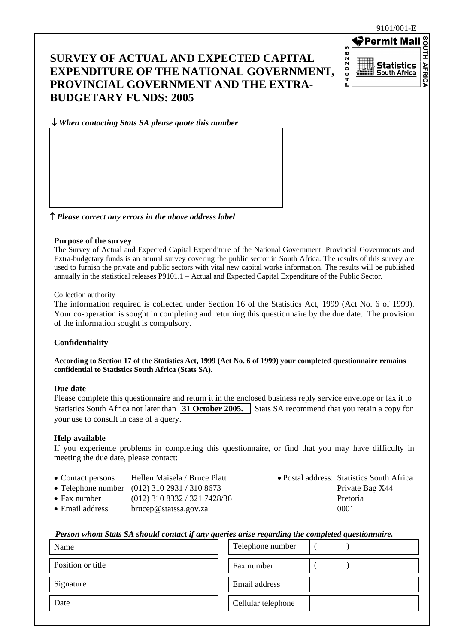### **SURVEY OF ACTUAL AND EXPECTED CAPITAL EXPENDITURE OF THE NATIONAL GOVERNMENT, PROVINCIAL GOVERNMENT AND THE EXTRA-BUDGETARY FUNDS: 2005**



↓ *When contacting Stats SA please quote this number*

↑ *Please correct any errors in the above address label*

#### **Purpose of the survey**

The Survey of Actual and Expected Capital Expenditure of the National Government, Provincial Governments and Extra-budgetary funds is an annual survey covering the public sector in South Africa. The results of this survey are used to furnish the private and public sectors with vital new capital works information. The results will be published annually in the statistical releases P9101.1 – Actual and Expected Capital Expenditure of the Public Sector.

#### Collection authority

The information required is collected under Section 16 of the Statistics Act, 1999 (Act No. 6 of 1999). Your co-operation is sought in completing and returning this questionnaire by the due date. The provision of the information sought is compulsory.

### **Confidentiality**

**According to Section 17 of the Statistics Act, 1999 (Act No. 6 of 1999) your completed questionnaire remains confidential to Statistics South Africa (Stats SA).** 

### **Due date**

Please complete this questionnaire and return it in the enclosed business reply service envelope or fax it to Statistics South Africa not later than **31 October 2005.** Stats SA recommend that you retain a copy for your use to consult in case of a query.

### **Help available**

If you experience problems in completing this questionnaire, or find that you may have difficulty in meeting the due date, please contact:

- Contact persons Hellen Maisela / Bruce Platt Postal address: Statistics South Africa
- Telephone number  $(012)$  310 2931 / 310 8673 Private Bag X44
- Fax number (012) 310 8332 / 321 7428/36 Pretoria
- Email address brucep@statssa.gov.za 0001
- 

### *Person whom Stats SA should contact if any queries arise regarding the completed questionnaire.*

| Name              | Telephone number   |
|-------------------|--------------------|
| Position or title | Fax number         |
| Signature         | Email address      |
| Date              | Cellular telephone |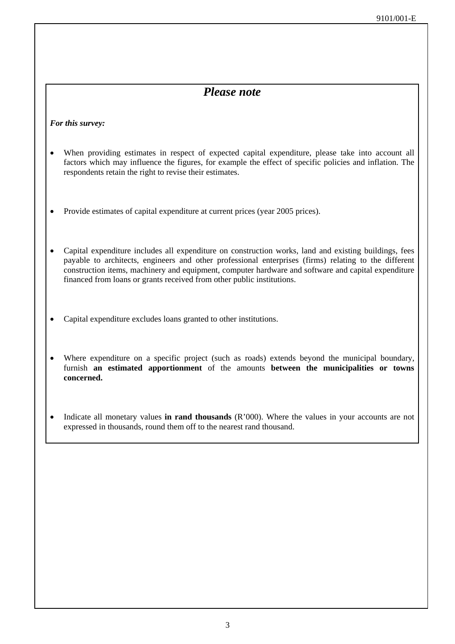### *Please note*

### *For this survey:*

- When providing estimates in respect of expected capital expenditure, please take into account all factors which may influence the figures, for example the effect of specific policies and inflation. The respondents retain the right to revise their estimates.
- Provide estimates of capital expenditure at current prices (year 2005 prices).
- Capital expenditure includes all expenditure on construction works, land and existing buildings, fees payable to architects, engineers and other professional enterprises (firms) relating to the different construction items, machinery and equipment, computer hardware and software and capital expenditure financed from loans or grants received from other public institutions.
- Capital expenditure excludes loans granted to other institutions.
- Where expenditure on a specific project (such as roads) extends beyond the municipal boundary, furnish **an estimated apportionment** of the amounts **between the municipalities or towns concerned.**
- Indicate all monetary values **in rand thousands** (R'000). Where the values in your accounts are not expressed in thousands, round them off to the nearest rand thousand.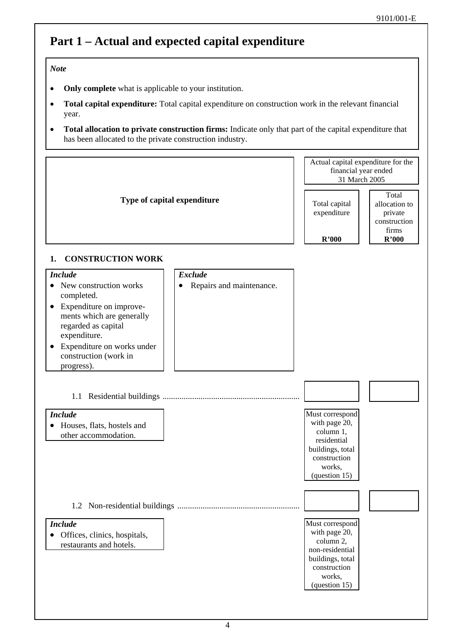## **Part 1 – Actual and expected capital expenditure**

### *Note*

- **Only complete** what is applicable to your institution.
- **Total capital expenditure:** Total capital expenditure on construction work in the relevant financial year.
- **Total allocation to private construction firms:** Indicate only that part of the capital expenditure that has been allocated to the private construction industry.

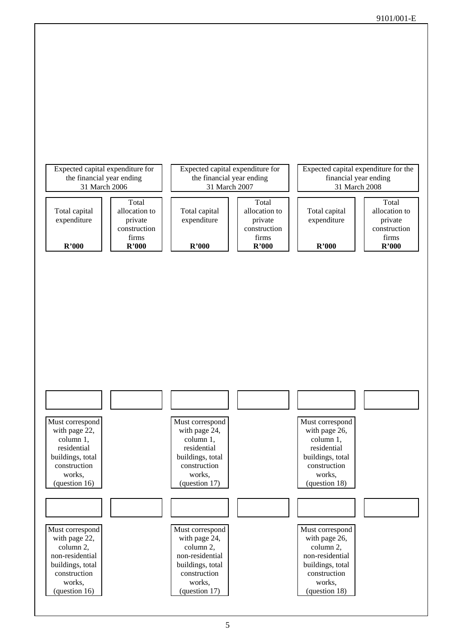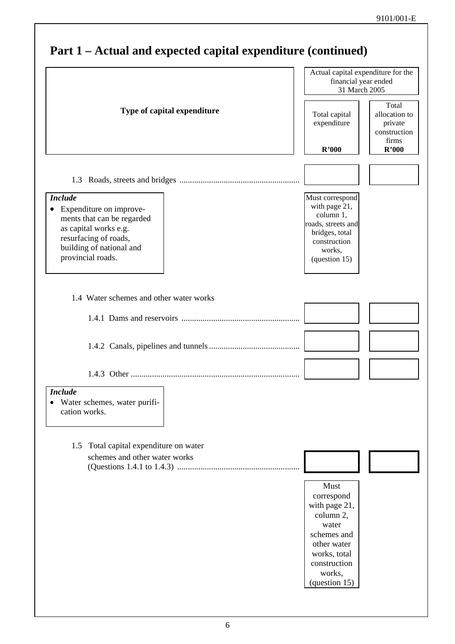|                                                                                                                                                                                         | Actual capital expenditure for the<br>financial year ended<br>31 March 2005                                                       |                                                            |
|-----------------------------------------------------------------------------------------------------------------------------------------------------------------------------------------|-----------------------------------------------------------------------------------------------------------------------------------|------------------------------------------------------------|
| Type of capital expenditure                                                                                                                                                             | Total capital<br>expenditure                                                                                                      | Total<br>allocation to<br>private<br>construction<br>firms |
|                                                                                                                                                                                         | R'000                                                                                                                             | R'000                                                      |
|                                                                                                                                                                                         |                                                                                                                                   |                                                            |
| <b>Include</b><br>Expenditure on improve-<br>$\bullet$<br>ments that can be regarded<br>as capital works e.g.<br>resurfacing of roads,<br>building of national and<br>provincial roads. | Must correspond<br>with page 21,<br>column 1,<br>roads, streets and<br>bridges, total<br>construction<br>works,<br>(question 15)  |                                                            |
| 1.4 Water schemes and other water works                                                                                                                                                 |                                                                                                                                   |                                                            |
|                                                                                                                                                                                         |                                                                                                                                   |                                                            |
|                                                                                                                                                                                         |                                                                                                                                   |                                                            |
|                                                                                                                                                                                         |                                                                                                                                   |                                                            |
| <b>Include</b><br>Water schemes, water purifi-<br>cation works.                                                                                                                         |                                                                                                                                   |                                                            |
| Total capital expenditure on water<br>1.5                                                                                                                                               |                                                                                                                                   |                                                            |
| schemes and other water works                                                                                                                                                           |                                                                                                                                   |                                                            |
|                                                                                                                                                                                         | Must<br>correspond<br>with page 21,<br>column 2,<br>water<br>schemes and<br>other water<br>works, total<br>construction<br>works, |                                                            |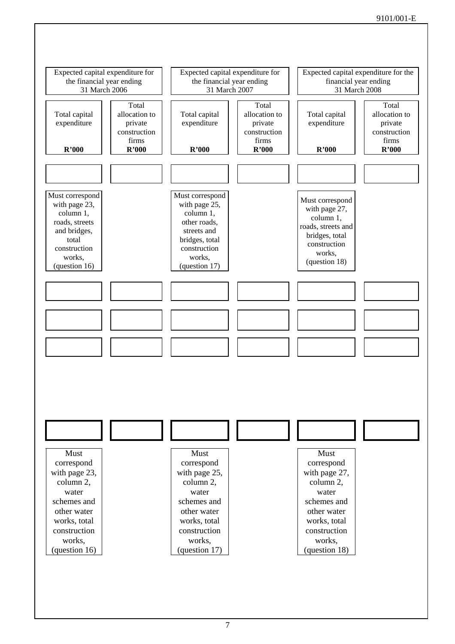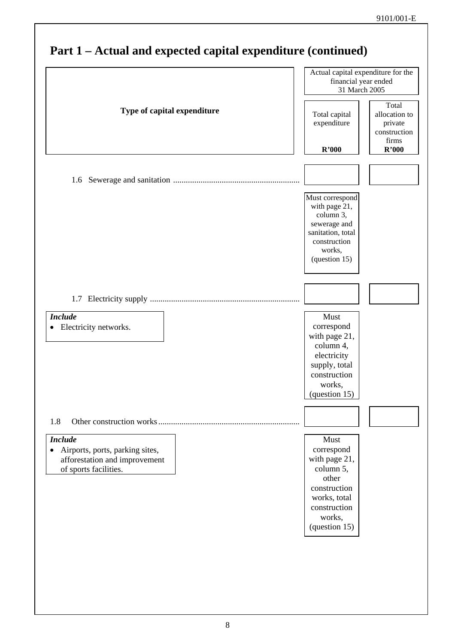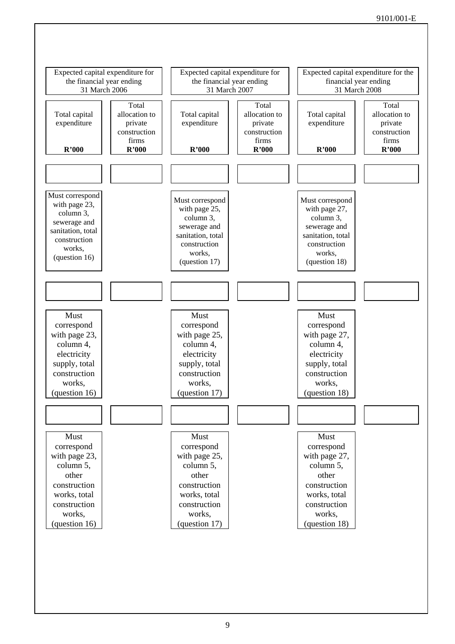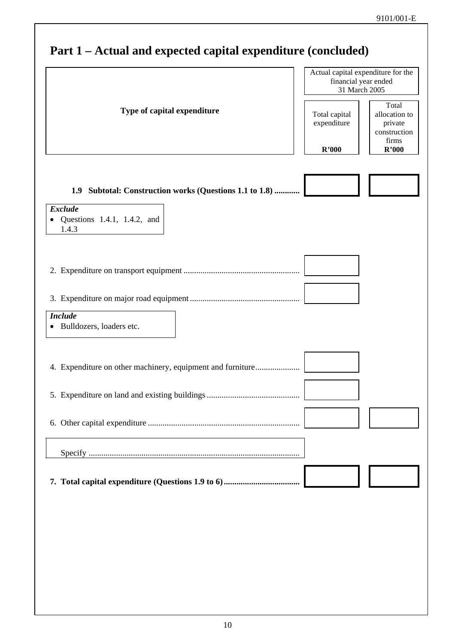## **Part 1 – Actual and expected capital expenditure (concluded)** Actual capital expenditure for the financial year ended 31 March 2005 **Type of capital expenditure** Total capital expenditure **R'000**  Total allocation to private construction firms **R'000 1.9 Subtotal: Construction works (Questions 1.1 to 1.8) ............***Exclude*  • Questions 1.4.1, 1.4.2, and 1.4.3 2. Expenditure on transport equipment ....................................................... 3. Expenditure on major road equipment .................................................... *Include* • Bulldozers, loaders etc. 4. Expenditure on other machinery, equipment and furniture...................... 5. Expenditure on land and existing buildings ............................................ 6. Other capital expenditure ........................................................................ Specify .................................................................................................... **7. Total capital expenditure (Questions 1.9 to 6)....................................**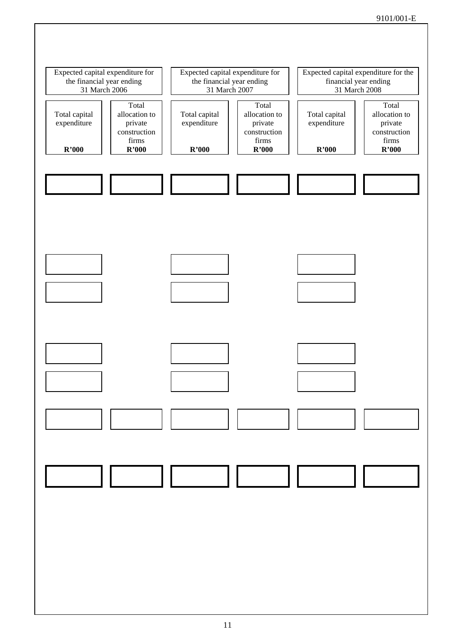### 9101/001-E

![](_page_10_Figure_1.jpeg)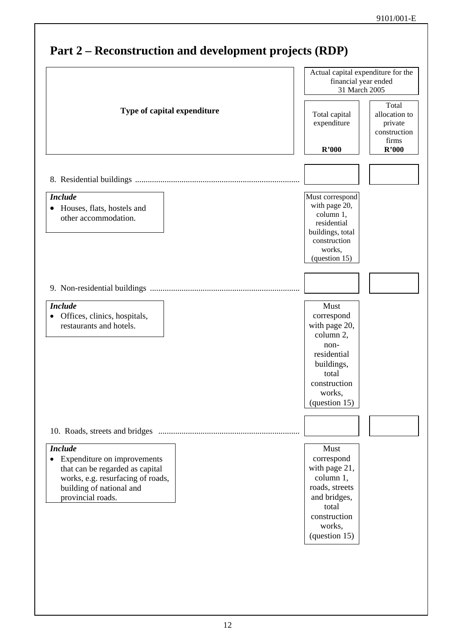### **Part 2 – Reconstruction and development projects (RDP)** Actual capital expenditure for the financial year ended 31 March 2005 **Type of capital expenditure**  $\begin{array}{|c|c|c|c|c|} \hline \end{array}$  Total capital expenditure **R'000**  Total allocation to private construction firms **R'000**  8. Residential buildings .............................................................................. *Include* • Houses, flats, hostels and other accommodation. Must correspond with page 20, column 1, residential buildings, total construction works, (question 15) 9. Non-residential buildings ....................................................................... *Include*  • Offices, clinics, hospitals, restaurants and hotels. Must correspond with page 20, column 2, nonresidential buildings, total construction works, (question 15) 10. Roads, streets and bridges ................................................................... *Include* • Expenditure on improvements that can be regarded as capital works, e.g. resurfacing of roads, building of national and provincial roads. Must correspond with page 21, column 1, roads, streets and bridges, total construction works, (question 15)

## 12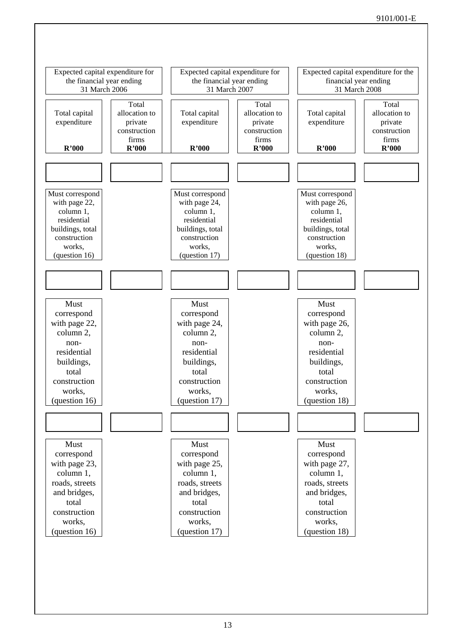![](_page_12_Figure_1.jpeg)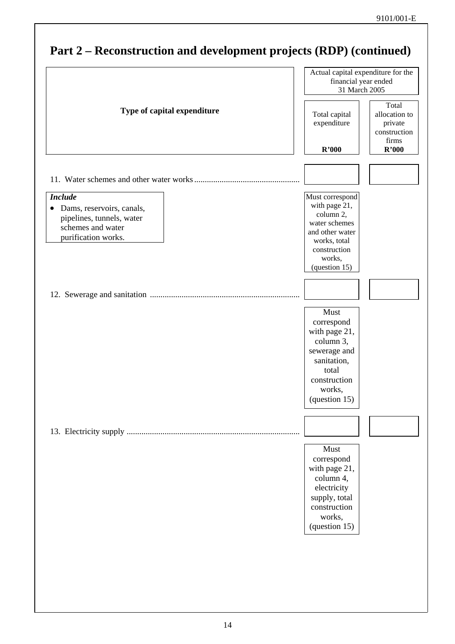### **Part 2 – Reconstruction and development projects (RDP) (continued)** Actual capital expenditure for the financial year ended 31 March 2005 **Type of capital expenditure**  $\begin{array}{|c|c|c|c|c|} \hline \end{array}$  Total capital expenditure **R'000**  Total allocation to private construction firms **R'000**  11. Water schemes and other water works .................................................. *Include* • Dams, reservoirs, canals, pipelines, tunnels, water schemes and water purification works. Must correspond with page 21, column 2, water schemes and other water works, total construction works, (question 15) 12. Sewerage and sanitation ....................................................................... Must correspond with page 21, column 3, sewerage and sanitation, total construction works, (question 15) 13. Electricity supply .................................................................................. Must correspond with page 21, column 4, electricity supply, total construction works, (question 15)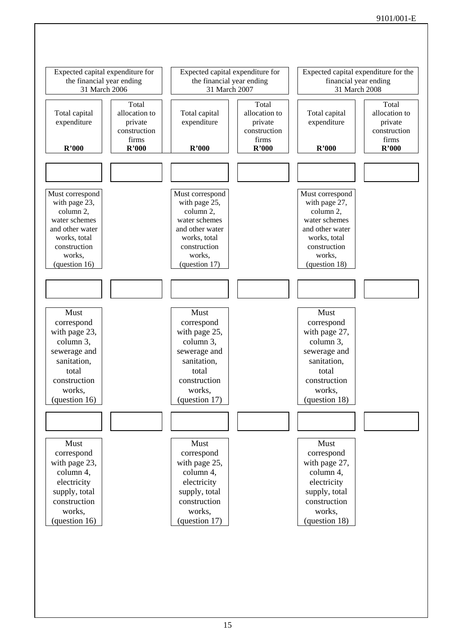![](_page_14_Figure_1.jpeg)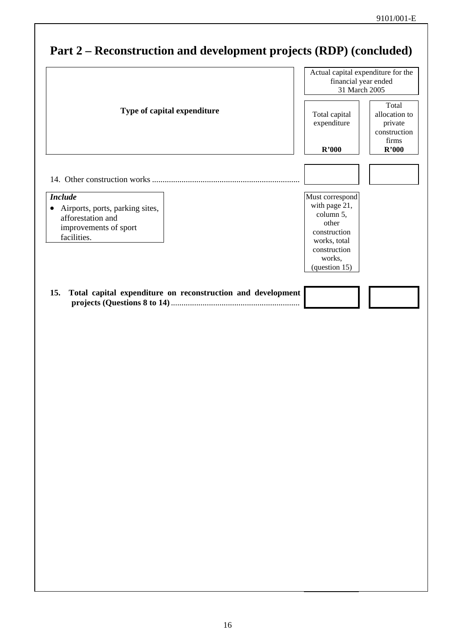## **Part 2 – Reconstruction and development projects (RDP) (concluded)** Actual capital expenditure for the financial year ended 31 March 2005 **Type of capital expenditure** Total capital expenditure **R'000**  Total allocation to private construction firms **R'000**  14. Other construction works ...................................................................... *Include* • Airports, ports, parking sites, afforestation and improvements of sport facilities. Must correspond with page 21, column 5, other construction works, total construction works, (question 15) **15. Total capital expenditure on reconstruction and development projects (Questions 8 to 14)**.............................................................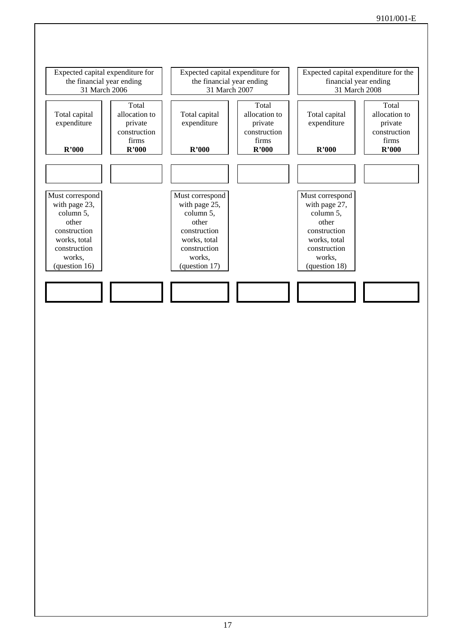![](_page_16_Figure_1.jpeg)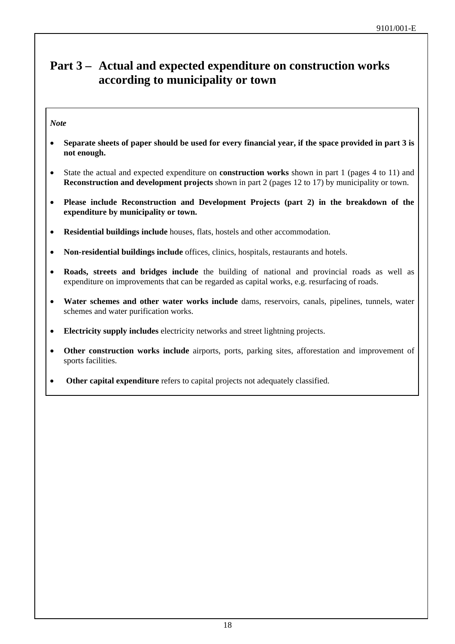## **Part 3 – Actual and expected expenditure on construction works according to municipality or town**

### *Note*

- **Separate sheets of paper should be used for every financial year, if the space provided in part 3 is not enough.**
- State the actual and expected expenditure on **construction works** shown in part 1 (pages 4 to 11) and **Reconstruction and development projects** shown in part 2 (pages 12 to 17) by municipality or town.
- **Please include Reconstruction and Development Projects (part 2) in the breakdown of the expenditure by municipality or town.**
- **Residential buildings include** houses, flats, hostels and other accommodation.
- **Non-residential buildings include** offices, clinics, hospitals, restaurants and hotels.
- **Roads, streets and bridges include** the building of national and provincial roads as well as expenditure on improvements that can be regarded as capital works, e.g. resurfacing of roads.
- **Water schemes and other water works include** dams, reservoirs, canals, pipelines, tunnels, water schemes and water purification works.
- **Electricity supply includes** electricity networks and street lightning projects.
- **Other construction works include** airports, ports, parking sites, afforestation and improvement of sports facilities.
- **Other capital expenditure** refers to capital projects not adequately classified.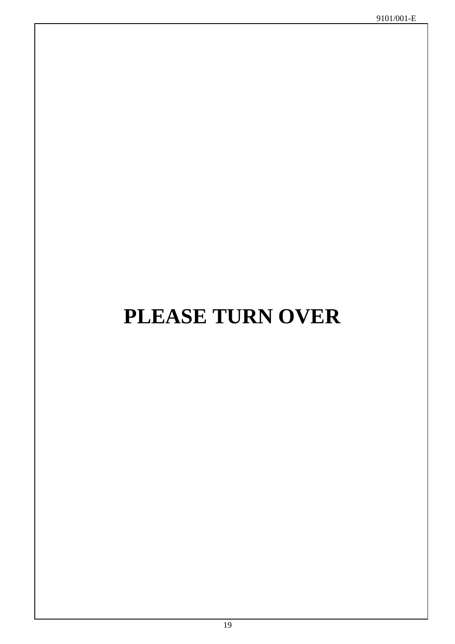# **PLEASE TURN OVER**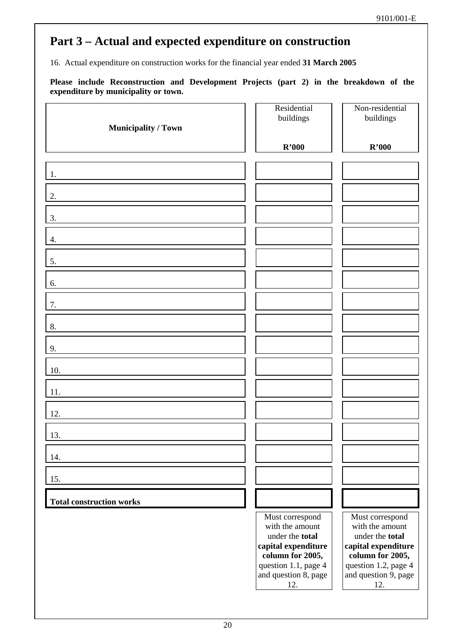16. Actual expenditure on construction works for the financial year ended **31 March 2005** 

| <b>Municipality / Town</b>      | Residential<br>buildings                                                                                                                                | Non-residential<br>buildings                                                                                                                            |
|---------------------------------|---------------------------------------------------------------------------------------------------------------------------------------------------------|---------------------------------------------------------------------------------------------------------------------------------------------------------|
|                                 | R'000                                                                                                                                                   | R'000                                                                                                                                                   |
| 1.                              |                                                                                                                                                         |                                                                                                                                                         |
| 2.                              |                                                                                                                                                         |                                                                                                                                                         |
| 3.                              |                                                                                                                                                         |                                                                                                                                                         |
| 4.                              |                                                                                                                                                         |                                                                                                                                                         |
| 5.                              |                                                                                                                                                         |                                                                                                                                                         |
| 6.                              |                                                                                                                                                         |                                                                                                                                                         |
| 7.                              |                                                                                                                                                         |                                                                                                                                                         |
| 8.                              |                                                                                                                                                         |                                                                                                                                                         |
| 9.                              |                                                                                                                                                         |                                                                                                                                                         |
| 10.                             |                                                                                                                                                         |                                                                                                                                                         |
| 11.                             |                                                                                                                                                         |                                                                                                                                                         |
| 12.                             |                                                                                                                                                         |                                                                                                                                                         |
| 13.                             |                                                                                                                                                         |                                                                                                                                                         |
| 14.                             |                                                                                                                                                         |                                                                                                                                                         |
| 15.                             |                                                                                                                                                         |                                                                                                                                                         |
| <b>Total construction works</b> |                                                                                                                                                         |                                                                                                                                                         |
|                                 | Must correspond<br>with the amount<br>under the total<br>capital expenditure<br>column for 2005,<br>question 1.1, page 4<br>and question 8, page<br>12. | Must correspond<br>with the amount<br>under the total<br>capital expenditure<br>column for 2005,<br>question 1.2, page 4<br>and question 9, page<br>12. |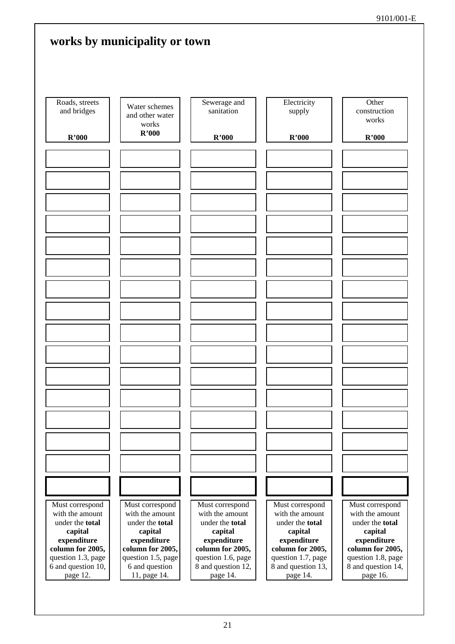|                                          | works by municipality or town                      |                                          |                                          |                                          |
|------------------------------------------|----------------------------------------------------|------------------------------------------|------------------------------------------|------------------------------------------|
| Roads, streets<br>and bridges            | Water schemes<br>and other water<br>works<br>R'000 | Sewerage and<br>sanitation               | Electricity<br>supply                    | Other<br>construction<br>works           |
| R'000                                    |                                                    | R'000                                    | R'000                                    | R'000                                    |
|                                          |                                                    |                                          |                                          |                                          |
|                                          |                                                    |                                          |                                          |                                          |
|                                          |                                                    |                                          |                                          |                                          |
|                                          |                                                    |                                          |                                          |                                          |
|                                          |                                                    |                                          |                                          |                                          |
|                                          |                                                    |                                          |                                          |                                          |
|                                          |                                                    |                                          |                                          |                                          |
|                                          |                                                    |                                          |                                          |                                          |
|                                          |                                                    |                                          |                                          |                                          |
|                                          |                                                    |                                          |                                          |                                          |
|                                          |                                                    |                                          |                                          |                                          |
|                                          |                                                    |                                          |                                          |                                          |
|                                          |                                                    |                                          |                                          |                                          |
|                                          |                                                    |                                          |                                          |                                          |
|                                          |                                                    |                                          |                                          |                                          |
|                                          |                                                    |                                          |                                          |                                          |
|                                          |                                                    |                                          |                                          |                                          |
|                                          |                                                    |                                          |                                          |                                          |
|                                          |                                                    |                                          |                                          |                                          |
|                                          |                                                    |                                          |                                          |                                          |
|                                          |                                                    |                                          |                                          |                                          |
|                                          |                                                    |                                          |                                          |                                          |
|                                          |                                                    |                                          |                                          |                                          |
|                                          |                                                    |                                          |                                          |                                          |
|                                          |                                                    |                                          |                                          |                                          |
|                                          |                                                    |                                          |                                          |                                          |
| Must correspond<br>with the amount       | Must correspond<br>with the amount                 | Must correspond<br>with the amount       | Must correspond<br>with the amount       | Must correspond<br>with the amount       |
| under the total                          | under the total                                    | under the total                          | under the total                          | under the total                          |
| capital<br>expenditure                   | capital<br>expenditure                             | capital<br>expenditure                   | capital<br>expenditure                   | capital<br>expenditure                   |
| column for 2005,                         | column for 2005,                                   | column for 2005,                         | column for 2005,                         | column for 2005,                         |
| question 1.3, page<br>6 and question 10, | question 1.5, page<br>6 and question               | question 1.6, page<br>8 and question 12, | question 1.7, page<br>8 and question 13, | question 1.8, page<br>8 and question 14, |
| page 12.                                 | 11, page 14.                                       | page 14.                                 | page 14.                                 | page 16.                                 |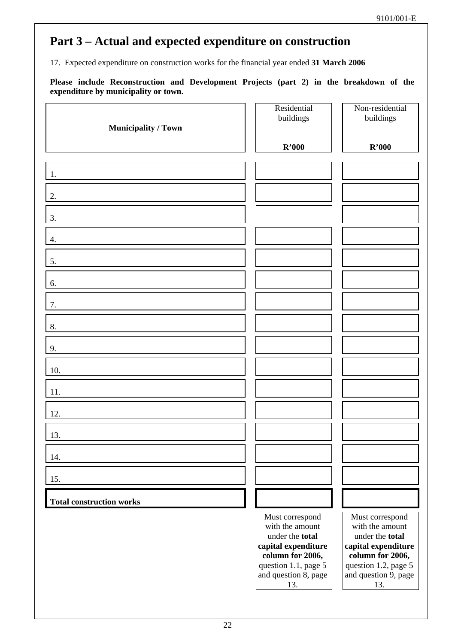17. Expected expenditure on construction works for the financial year ended **31 March 2006** 

| <b>Municipality / Town</b>      | Residential<br>buildings                                                                                                                         | Non-residential<br>buildings                                                                                                                     |
|---------------------------------|--------------------------------------------------------------------------------------------------------------------------------------------------|--------------------------------------------------------------------------------------------------------------------------------------------------|
|                                 | R'000                                                                                                                                            | R'000                                                                                                                                            |
| 1.                              |                                                                                                                                                  |                                                                                                                                                  |
| 2.                              |                                                                                                                                                  |                                                                                                                                                  |
| 3.                              |                                                                                                                                                  |                                                                                                                                                  |
| 4.                              |                                                                                                                                                  |                                                                                                                                                  |
| 5.                              |                                                                                                                                                  |                                                                                                                                                  |
| 6.                              |                                                                                                                                                  |                                                                                                                                                  |
| 7.                              |                                                                                                                                                  |                                                                                                                                                  |
| 8.                              |                                                                                                                                                  |                                                                                                                                                  |
| 9.                              |                                                                                                                                                  |                                                                                                                                                  |
| 10.                             |                                                                                                                                                  |                                                                                                                                                  |
| 11.                             |                                                                                                                                                  |                                                                                                                                                  |
| 12.                             |                                                                                                                                                  |                                                                                                                                                  |
| 13.                             |                                                                                                                                                  |                                                                                                                                                  |
| 14.                             |                                                                                                                                                  |                                                                                                                                                  |
| 15.                             |                                                                                                                                                  |                                                                                                                                                  |
| <b>Total construction works</b> |                                                                                                                                                  |                                                                                                                                                  |
|                                 | Must correspond<br>with the amount<br>under the total<br>capital expenditure<br>column for 2006,<br>question 1.1, page 5<br>and question 8, page | Must correspond<br>with the amount<br>under the total<br>capital expenditure<br>column for 2006,<br>question 1.2, page 5<br>and question 9, page |
|                                 | 13.                                                                                                                                              | 13.                                                                                                                                              |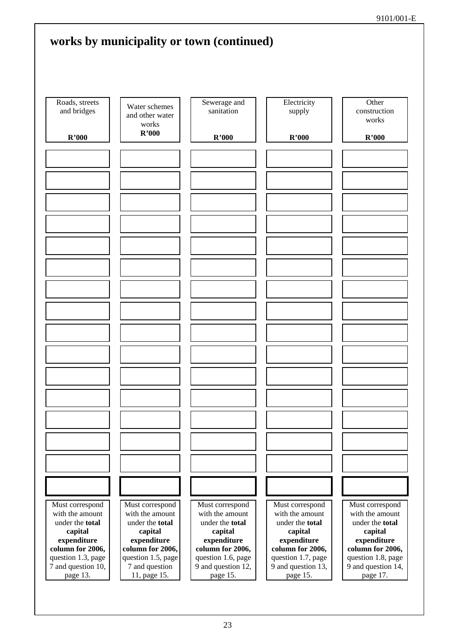|                                        |                                                    | works by municipality or town (continued) |                                        |                                        |
|----------------------------------------|----------------------------------------------------|-------------------------------------------|----------------------------------------|----------------------------------------|
| Roads, streets<br>and bridges          | Water schemes<br>and other water<br>works<br>R'000 | Sewerage and<br>sanitation                | Electricity<br>supply                  | Other<br>construction<br>works         |
| R'000                                  |                                                    | R'000                                     | R'000                                  | R'000                                  |
|                                        |                                                    |                                           |                                        |                                        |
|                                        |                                                    |                                           |                                        |                                        |
|                                        |                                                    |                                           |                                        |                                        |
|                                        |                                                    |                                           |                                        |                                        |
|                                        |                                                    |                                           |                                        |                                        |
|                                        |                                                    |                                           |                                        |                                        |
|                                        |                                                    |                                           |                                        |                                        |
|                                        |                                                    |                                           |                                        |                                        |
|                                        |                                                    |                                           |                                        |                                        |
|                                        |                                                    |                                           |                                        |                                        |
|                                        |                                                    |                                           |                                        |                                        |
|                                        |                                                    |                                           |                                        |                                        |
|                                        |                                                    |                                           |                                        |                                        |
|                                        |                                                    |                                           |                                        |                                        |
|                                        |                                                    |                                           |                                        |                                        |
|                                        |                                                    |                                           |                                        |                                        |
|                                        |                                                    |                                           |                                        |                                        |
|                                        |                                                    |                                           |                                        |                                        |
|                                        |                                                    |                                           |                                        |                                        |
|                                        |                                                    |                                           |                                        |                                        |
|                                        |                                                    |                                           |                                        |                                        |
|                                        |                                                    |                                           |                                        |                                        |
|                                        |                                                    |                                           |                                        |                                        |
|                                        |                                                    |                                           |                                        |                                        |
| Must correspond<br>with the amount     | Must correspond<br>with the amount                 | Must correspond<br>with the amount        | Must correspond<br>with the amount     | Must correspond<br>with the amount     |
| under the total                        | under the total                                    | under the total                           | under the total                        | under the total                        |
| capital<br>expenditure                 | capital<br>expenditure                             | capital<br>expenditure                    | capital<br>expenditure                 | capital<br>expenditure                 |
| column for 2006,<br>question 1.3, page | column for 2006,<br>question 1.5, page             | column for 2006,<br>question 1.6, page    | column for 2006,<br>question 1.7, page | column for 2006,<br>question 1.8, page |
| 7 and question 10,                     | 7 and question                                     | 9 and question 12,                        | 9 and question 13,                     | 9 and question 14,                     |
| page 13.                               | 11, page 15.                                       | page 15.                                  | page 15.                               | page 17.                               |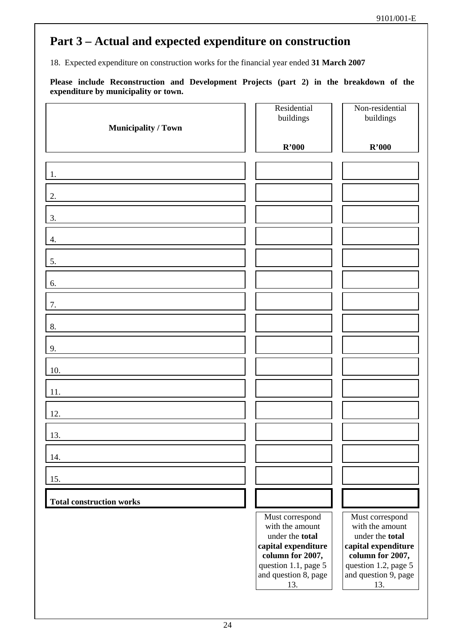18. Expected expenditure on construction works for the financial year ended **31 March 2007** 

| <b>Municipality / Town</b>      | Residential<br>buildings                                                                                                                                | Non-residential<br>buildings                                                                                                                            |
|---------------------------------|---------------------------------------------------------------------------------------------------------------------------------------------------------|---------------------------------------------------------------------------------------------------------------------------------------------------------|
|                                 | R'000                                                                                                                                                   | R'000                                                                                                                                                   |
| 1.                              |                                                                                                                                                         |                                                                                                                                                         |
| 2.                              |                                                                                                                                                         |                                                                                                                                                         |
| 3.                              |                                                                                                                                                         |                                                                                                                                                         |
| 4.                              |                                                                                                                                                         |                                                                                                                                                         |
| 5.                              |                                                                                                                                                         |                                                                                                                                                         |
| 6.                              |                                                                                                                                                         |                                                                                                                                                         |
| 7.                              |                                                                                                                                                         |                                                                                                                                                         |
| 8.                              |                                                                                                                                                         |                                                                                                                                                         |
| 9.                              |                                                                                                                                                         |                                                                                                                                                         |
| 10.                             |                                                                                                                                                         |                                                                                                                                                         |
| 11.                             |                                                                                                                                                         |                                                                                                                                                         |
| 12.                             |                                                                                                                                                         |                                                                                                                                                         |
| 13.                             |                                                                                                                                                         |                                                                                                                                                         |
| 14.                             |                                                                                                                                                         |                                                                                                                                                         |
| 15.                             |                                                                                                                                                         |                                                                                                                                                         |
| <b>Total construction works</b> |                                                                                                                                                         |                                                                                                                                                         |
|                                 | Must correspond<br>with the amount<br>under the total<br>capital expenditure<br>column for 2007,<br>question 1.1, page 5<br>and question 8, page<br>13. | Must correspond<br>with the amount<br>under the total<br>capital expenditure<br>column for 2007,<br>question 1.2, page 5<br>and question 9, page<br>13. |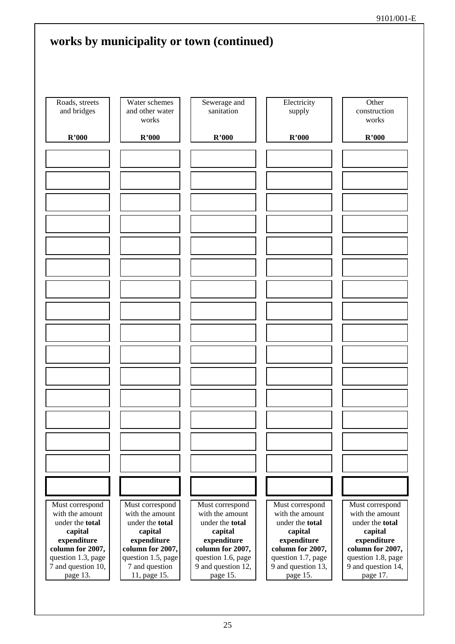|                                          |                                           | works by municipality or town (continued) |                                          |                                          |
|------------------------------------------|-------------------------------------------|-------------------------------------------|------------------------------------------|------------------------------------------|
|                                          |                                           |                                           |                                          |                                          |
| Roads, streets<br>and bridges            | Water schemes<br>and other water<br>works | Sewerage and<br>sanitation                | Electricity<br>supply                    | Other<br>construction<br>works           |
| R'000                                    | R'000                                     | R'000                                     | R'000                                    | R'000                                    |
|                                          |                                           |                                           |                                          |                                          |
|                                          |                                           |                                           |                                          |                                          |
|                                          |                                           |                                           |                                          |                                          |
|                                          |                                           |                                           |                                          |                                          |
|                                          |                                           |                                           |                                          |                                          |
|                                          |                                           |                                           |                                          |                                          |
|                                          |                                           |                                           |                                          |                                          |
|                                          |                                           |                                           |                                          |                                          |
|                                          |                                           |                                           |                                          |                                          |
|                                          |                                           |                                           |                                          |                                          |
|                                          |                                           |                                           |                                          |                                          |
|                                          |                                           |                                           |                                          |                                          |
|                                          |                                           |                                           |                                          |                                          |
|                                          |                                           |                                           |                                          |                                          |
|                                          |                                           |                                           |                                          |                                          |
|                                          |                                           |                                           |                                          |                                          |
|                                          |                                           |                                           |                                          |                                          |
|                                          |                                           |                                           |                                          |                                          |
|                                          |                                           |                                           |                                          |                                          |
|                                          |                                           |                                           |                                          |                                          |
| Must correspond<br>with the amount       | Must correspond<br>with the amount        | Must correspond<br>with the amount        | Must correspond<br>with the amount       | Must correspond<br>with the amount       |
| under the total<br>capital               | under the total<br>capital                | under the total<br>capital                | under the total<br>capital               | under the total<br>capital               |
| expenditure<br>column for 2007,          | expenditure<br>column for 2007,           | expenditure<br>column for 2007,           | expenditure<br>column for 2007,          | expenditure<br>column for 2007,          |
| question 1.3, page<br>7 and question 10, | question 1.5, page<br>7 and question      | question 1.6, page<br>9 and question 12,  | question 1.7, page<br>9 and question 13, | question 1.8, page<br>9 and question 14, |
| page 13.                                 | 11, page 15.                              | page 15.                                  | page 15.                                 | page 17.                                 |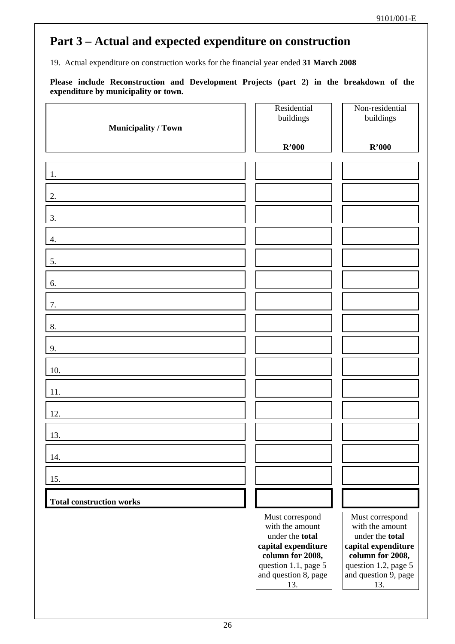19. Actual expenditure on construction works for the financial year ended **31 March 2008** 

| <b>Municipality / Town</b>      | Residential<br>buildings                                                                                                                                | Non-residential<br>buildings                                                                                                                            |
|---------------------------------|---------------------------------------------------------------------------------------------------------------------------------------------------------|---------------------------------------------------------------------------------------------------------------------------------------------------------|
|                                 | R'000                                                                                                                                                   | R'000                                                                                                                                                   |
| 1.                              |                                                                                                                                                         |                                                                                                                                                         |
| 2.                              |                                                                                                                                                         |                                                                                                                                                         |
| 3.                              |                                                                                                                                                         |                                                                                                                                                         |
| 4.                              |                                                                                                                                                         |                                                                                                                                                         |
| 5.                              |                                                                                                                                                         |                                                                                                                                                         |
| 6.                              |                                                                                                                                                         |                                                                                                                                                         |
| 7.                              |                                                                                                                                                         |                                                                                                                                                         |
| 8.                              |                                                                                                                                                         |                                                                                                                                                         |
| 9.                              |                                                                                                                                                         |                                                                                                                                                         |
| 10.                             |                                                                                                                                                         |                                                                                                                                                         |
| 11.                             |                                                                                                                                                         |                                                                                                                                                         |
| 12.                             |                                                                                                                                                         |                                                                                                                                                         |
| 13.                             |                                                                                                                                                         |                                                                                                                                                         |
| 14.                             |                                                                                                                                                         |                                                                                                                                                         |
| 15.                             |                                                                                                                                                         |                                                                                                                                                         |
| <b>Total construction works</b> |                                                                                                                                                         |                                                                                                                                                         |
|                                 | Must correspond<br>with the amount<br>under the total<br>capital expenditure<br>column for 2008,<br>question 1.1, page 5<br>and question 8, page<br>13. | Must correspond<br>with the amount<br>under the total<br>capital expenditure<br>column for 2008,<br>question 1.2, page 5<br>and question 9, page<br>13. |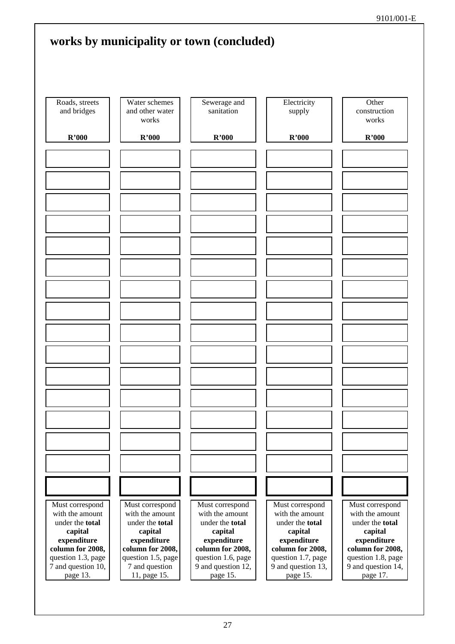|                                                                                                     | works by municipality or town (concluded)                                                           |                                                                                                            |                                                                                                     |                                                                                                     |
|-----------------------------------------------------------------------------------------------------|-----------------------------------------------------------------------------------------------------|------------------------------------------------------------------------------------------------------------|-----------------------------------------------------------------------------------------------------|-----------------------------------------------------------------------------------------------------|
| Roads, streets<br>and bridges                                                                       | Water schemes<br>and other water<br>works                                                           | Sewerage and<br>sanitation                                                                                 | Electricity<br>supply                                                                               | Other<br>construction<br>works                                                                      |
| R'000                                                                                               | R'000                                                                                               | R'000                                                                                                      | R'000                                                                                               | R'000                                                                                               |
|                                                                                                     |                                                                                                     |                                                                                                            |                                                                                                     |                                                                                                     |
|                                                                                                     |                                                                                                     |                                                                                                            |                                                                                                     |                                                                                                     |
|                                                                                                     |                                                                                                     |                                                                                                            |                                                                                                     |                                                                                                     |
|                                                                                                     |                                                                                                     |                                                                                                            |                                                                                                     |                                                                                                     |
|                                                                                                     |                                                                                                     |                                                                                                            |                                                                                                     |                                                                                                     |
|                                                                                                     |                                                                                                     |                                                                                                            |                                                                                                     |                                                                                                     |
|                                                                                                     |                                                                                                     |                                                                                                            |                                                                                                     |                                                                                                     |
|                                                                                                     |                                                                                                     |                                                                                                            |                                                                                                     |                                                                                                     |
|                                                                                                     |                                                                                                     |                                                                                                            |                                                                                                     |                                                                                                     |
|                                                                                                     |                                                                                                     |                                                                                                            |                                                                                                     |                                                                                                     |
|                                                                                                     |                                                                                                     |                                                                                                            |                                                                                                     |                                                                                                     |
| Must correspond<br>with the amount<br>under the total<br>capital<br>expenditure<br>column for 2008, | Must correspond<br>with the amount<br>under the total<br>capital<br>expenditure<br>column for 2008, | Must correspond<br>with the amount<br>under the <b>total</b><br>capital<br>expenditure<br>column for 2008, | Must correspond<br>with the amount<br>under the total<br>capital<br>expenditure<br>column for 2008, | Must correspond<br>with the amount<br>under the total<br>capital<br>expenditure<br>column for 2008, |
| question 1.3, page<br>7 and question 10,<br>page 13.                                                | question 1.5, page<br>7 and question<br>11, page 15.                                                | question 1.6, page<br>9 and question 12,<br>page 15.                                                       | question 1.7, page<br>9 and question 13,<br>page 15.                                                | question 1.8, page<br>9 and question 14,<br>page 17.                                                |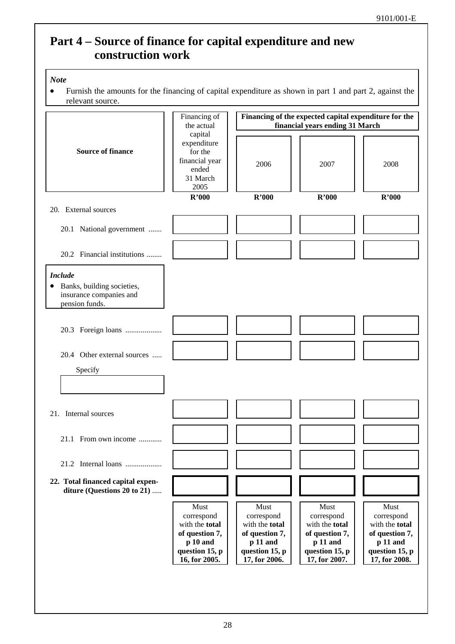## **Part 4 – Source of finance for capital expenditure and new construction work**

### *Note*

• Furnish the amounts for the financing of capital expenditure as shown in part 1 and part 2, against the relevant source.

![](_page_27_Figure_4.jpeg)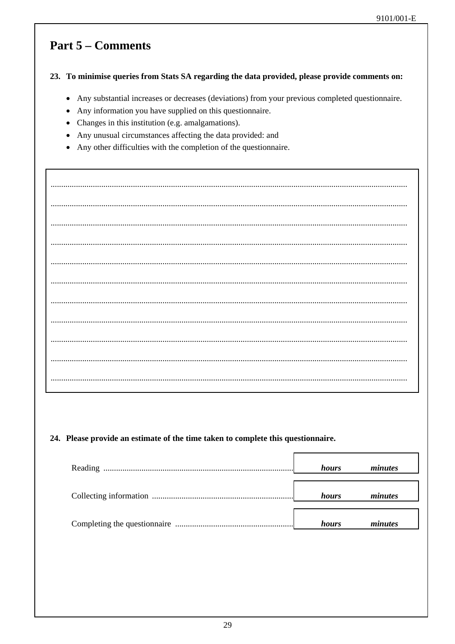## **Part 5 – Comments**

### 23. To minimise queries from Stats SA regarding the data provided, please provide comments on:

- Any substantial increases or decreases (deviations) from your previous completed questionnaire.
- Any information you have supplied on this questionnaire.
- Changes in this institution (e.g. amalgamations).
- Any unusual circumstances affecting the data provided: and
- Any other difficulties with the completion of the questionnaire.

### 24. Please provide an estimate of the time taken to complete this questionnaire.

| hours        | minutes |
|--------------|---------|
| hours        | minutes |
| <i>hours</i> | minutes |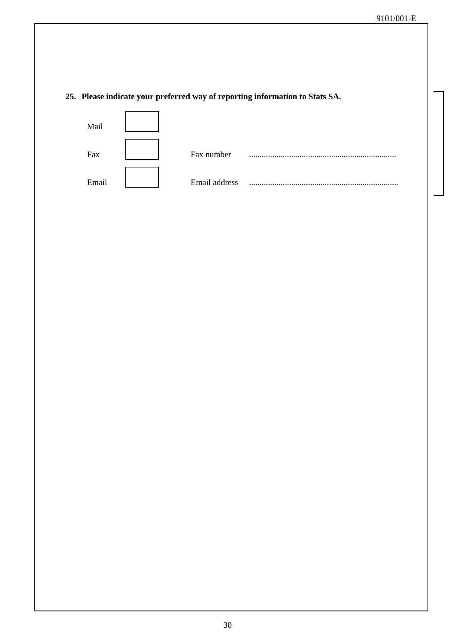### **25. Please indicate your preferred way of reporting information to Stats SA.**

![](_page_29_Figure_2.jpeg)